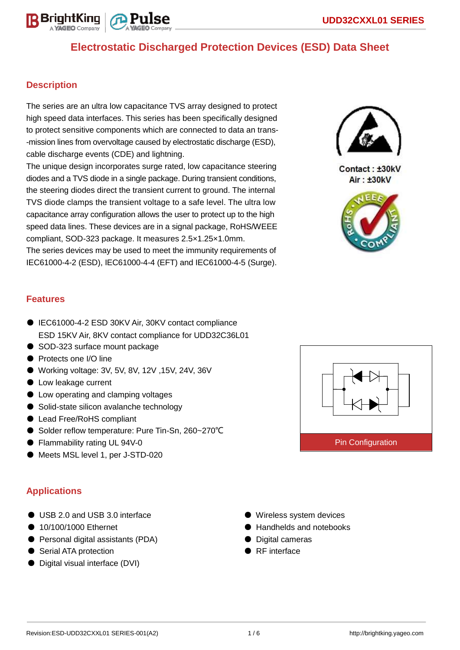

## **Description**

The series are an ultra low capacitance TVS array designed to protect high speed data interfaces. This series has been specifically designed to protect sensitive components which are connected to data an trans- -mission lines from overvoltage caused by electrostatic discharge (ESD), cable discharge events (CDE) and lightning.

The unique design incorporates surge rated, low capacitance steering diodes and a TVS diode in a single package. During transient conditions, the steering diodes direct the transient current to ground. The internal TVS diode clamps the transient voltage to a safe level. The ultra low capacitance array configuration allows the user to protect up to the high speed data lines. These devices are in a signal package, RoHS/WEEE compliant, SOD-323 package. It measures 2.5×1.25×1.0mm.

The series devices may be used to meet the immunity requirements of IEC61000-4-2 (ESD), IEC61000-4-4 (EFT) and IEC61000-4-5 (Surge).



Contact: ±30kV Air: ±30kV



## **Features**

- IEC61000-4-2 ESD 30KV Air, 30KV contact compliance ESD 15KV Air, 8KV contact compliance for UDD32C36L01
- SOD-323 surface mount package
- Protects one I/O line
- Working voltage: 3V, 5V, 8V, 12V, 15V, 24V, 36V
- Low leakage current
- Low operating and clamping voltages
- Solid-state silicon avalanche technology
- Lead Free/RoHS compliant
- Solder reflow temperature: Pure Tin-Sn, 260~270°C
- Flammability rating UL 94V-0
- Meets MSL level 1, per J-STD-020

# **Applications**

- USB 2.0 and USB 3.0 interface
- 10/100/1000 Ethernet
- Personal digital assistants (PDA)
- Serial ATA protection
- Digital visual interface (DVI)
- Pin Configuration
- Wireless system devices
- Handhelds and notebooks
- Digital cameras
- RF interface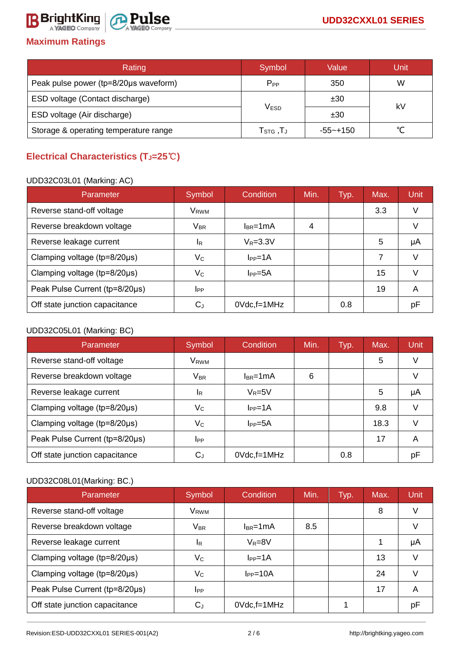# **Maximum Ratings**

| Rating                                | Symbol                                                    | Value    | Unit |
|---------------------------------------|-----------------------------------------------------------|----------|------|
| Peak pulse power (tp=8/20µs waveform) | $P_{PP}$                                                  | 350      | W    |
| ESD voltage (Contact discharge)       |                                                           | ±30      | kV   |
| ESD voltage (Air discharge)           | V <sub>ESD</sub>                                          | ±30      |      |
| Storage & operating temperature range | ${\mathsf T}_{\texttt{STG}}\,, {\mathsf T}_{\mathsf J}\,$ | -55~+150 |      |

# **Electrical Characteristics (TJ=25**℃**)**

### UDD32C03L01 (Marking: AC)

| Parameter                      | Symbol                     | Condition          | Min. | Typ. | Max. | <b>Unit</b> |
|--------------------------------|----------------------------|--------------------|------|------|------|-------------|
| Reverse stand-off voltage      | V <sub>RWM</sub>           |                    |      |      | 3.3  | V           |
| Reverse breakdown voltage      | $\mathsf{V}_{\mathsf{BR}}$ | $l_{BR}$ =1mA      | 4    |      |      |             |
| Reverse leakage current        | IR.                        | $V_R = 3.3V$       |      |      | 5    | μA          |
| Clamping voltage (tp=8/20µs)   | $\mathsf{V}_\mathsf{C}$    | $I_{PP}=1A$        |      |      | 7    |             |
| Clamping voltage (tp=8/20µs)   | Vc                         | $I_{PP}=5A$        |      |      | 15   |             |
| Peak Pulse Current (tp=8/20µs) | <b>I</b> PP                |                    |      |      | 19   | A           |
| Off state junction capacitance | $\rm C_J$                  | $0Vdc$ , f=1 $MHz$ |      | 0.8  |      | рF          |

## UDD32C05L01 (Marking: BC)

| Parameter                      | Symbol                     | Condition          | Min. | Typ. | Max. | Unit |
|--------------------------------|----------------------------|--------------------|------|------|------|------|
| Reverse stand-off voltage      | V <sub>RWM</sub>           |                    |      |      | 5    | V    |
| Reverse breakdown voltage      | $\mathsf{V}_{\mathsf{BR}}$ | $I_{BR}$ =1mA      | 6    |      |      | V    |
| Reverse leakage current        | <sup>I</sup> R             | $V_R = 5V$         |      |      | 5    | μA   |
| Clamping voltage (tp=8/20µs)   | $V_C$                      | $I_{PP} = 1A$      |      |      | 9.8  | V    |
| Clamping voltage (tp=8/20µs)   | $V_C$                      | $IPP=5A$           |      |      | 18.3 | V    |
| Peak Pulse Current (tp=8/20µs) | <b>I</b> PP                |                    |      |      | 17   | A    |
| Off state junction capacitance | $\mathrm{C_{J}}$           | $0Vdc$ , f=1 $MHz$ |      | 0.8  |      | рF   |

# UDD32C08L01(Marking: BC.)

| Parameter                      | Symbol                  | Condition          | Min. | Typ. | Max. | Unit |
|--------------------------------|-------------------------|--------------------|------|------|------|------|
| Reverse stand-off voltage      | V <sub>RWM</sub>        |                    |      |      | 8    | V    |
| Reverse breakdown voltage      | <b>VBR</b>              | $I_{BR}$ =1mA      | 8.5  |      |      |      |
| Reverse leakage current        | 1R                      | $V_R = 8V$         |      |      |      | μA   |
| Clamping voltage (tp=8/20µs)   | $\mathsf{V}_\mathsf{C}$ | $I_{PP} = 1A$      |      |      | 13   |      |
| Clamping voltage (tp=8/20µs)   | Vc                      | $I_{PP}=10A$       |      |      | 24   |      |
| Peak Pulse Current (tp=8/20µs) | <b>I</b> PP             |                    |      |      | 17   | A    |
| Off state junction capacitance | C,                      | $0Vdc$ , f=1 $MHz$ |      |      |      | рF   |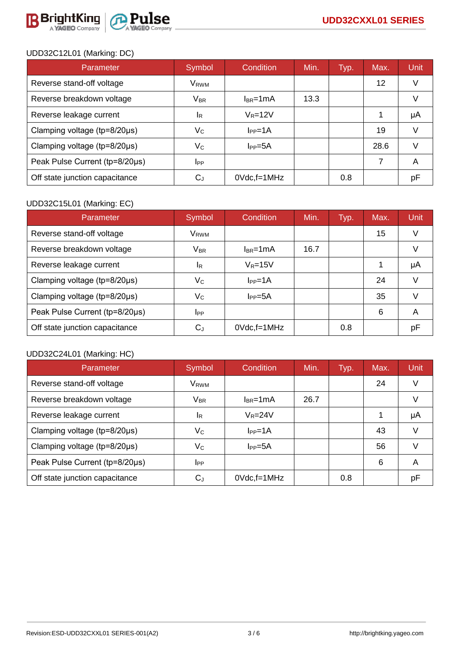

## UDD32C12L01 (Marking: DC)

| Parameter                      | Symbol                     | Condition          | Min. | Typ. | Max. | Unit |
|--------------------------------|----------------------------|--------------------|------|------|------|------|
| Reverse stand-off voltage      | V <sub>RWM</sub>           |                    |      |      | 12   |      |
| Reverse breakdown voltage      | $\mathsf{V}_{\mathsf{BR}}$ | $l_{BR}$ =1 $mA$   | 13.3 |      |      |      |
| Reverse leakage current        | <sup>I</sup> R             | $V_R = 12V$        |      |      |      | μA   |
| Clamping voltage (tp=8/20µs)   | Vc                         | $I_{PP} = 1A$      |      |      | 19   |      |
| Clamping voltage (tp=8/20µs)   | $\mathsf{V}_{\mathsf{C}}$  | $I_{PP} = 5A$      |      |      | 28.6 |      |
| Peak Pulse Current (tp=8/20µs) | <b>I</b> PP                |                    |      |      | 7    | A    |
| Off state junction capacitance | C.ı                        | $0Vdc$ , f=1 $MHz$ |      | 0.8  |      | рF   |

## UDD32C15L01 (Marking: EC)

| Parameter                              | Symbol                     | Condition             | Min. | Typ. | Max. | Unit |
|----------------------------------------|----------------------------|-----------------------|------|------|------|------|
| Reverse stand-off voltage              | V <sub>RWM</sub>           |                       |      |      | 15   |      |
| Reverse breakdown voltage              | $\mathsf{V}_{\mathsf{BR}}$ | $l_{BR}$ =1mA         | 16.7 |      |      |      |
| Reverse leakage current                | IR.                        | $\rm V_{\rm R}{=}15V$ |      |      |      | μA   |
| Clamping voltage (tp=8/20µs)           | $\mathsf{V}_\mathsf{C}$    | $I_{PP} = 1A$         |      |      | 24   |      |
| Clamping voltage ( $tp = 8/20 \mu s$ ) | $\mathsf{V}_{\mathsf{C}}$  | $I_{PP} = 5A$         |      |      | 35   |      |
| Peak Pulse Current (tp=8/20µs)         | <b>I</b> PP                |                       |      |      | 6    | A    |
| Off state junction capacitance         | $\mathrm{C_{J}}$           | $0Vdc$ , f=1 $MHz$    |      | 0.8  |      | рF   |

### UDD32C24L01 (Marking: HC)

| Parameter                      | Symbol                     | Condition          | Min. | Typ. | Max. | Unit |
|--------------------------------|----------------------------|--------------------|------|------|------|------|
| Reverse stand-off voltage      | V <sub>RWM</sub>           |                    |      |      | 24   | V    |
| Reverse breakdown voltage      | $\mathsf{V}_{\mathsf{BR}}$ | $l_{BR}$ =1mA      | 26.7 |      |      | V    |
| Reverse leakage current        | IR.                        | $V_R = 24V$        |      |      |      | μA   |
| Clamping voltage (tp=8/20µs)   | $\mathsf{V}_\mathsf{C}$    | $I_{PP} = 1A$      |      |      | 43   | V    |
| Clamping voltage (tp=8/20µs)   | $\mathsf{V}_\mathsf{C}$    | $I_{PP} = 5A$      |      |      | 56   | V    |
| Peak Pulse Current (tp=8/20µs) | <b>I</b> PP                |                    |      |      | 6    | A    |
| Off state junction capacitance | $\rm C_J$                  | $0Vdc$ , f=1 $MHz$ |      | 0.8  |      | рF   |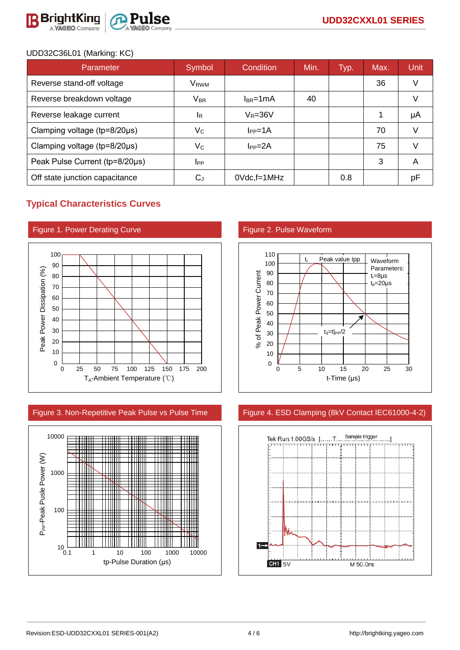

### UDD32C36L01 (Marking: KC)

| Parameter                      | Symbol                     | Condition          | Min. | Typ. | Max. | Unit |
|--------------------------------|----------------------------|--------------------|------|------|------|------|
| Reverse stand-off voltage      | V <sub>RWM</sub>           |                    |      |      | 36   |      |
| Reverse breakdown voltage      | $\mathsf{V}_{\mathsf{BR}}$ | $l_{BR}$ =1mA      | 40   |      |      |      |
| Reverse leakage current        | IR.                        | $V_R = 36V$        |      |      |      | μA   |
| Clamping voltage (tp=8/20µs)   | $\mathsf{V}_{\mathsf{C}}$  | $I_{PP} = 1A$      |      |      | 70   | V    |
| Clamping voltage (tp=8/20µs)   | Vc                         | $I_{PP} = 2A$      |      |      | 75   |      |
| Peak Pulse Current (tp=8/20µs) | <b>I</b> PP                |                    |      |      | 3    | A    |
| Off state junction capacitance | $\mathrm{C_{J}}$           | $0Vdc$ , f=1 $MHz$ |      | 0.8  |      | рF   |

# **Typical Characteristics Curves**







#### Figure 3. Non-Repetitive Peak Pulse vs Pulse Time Figure 4. ESD Clamping (8kV Contact IEC61000-4-2)

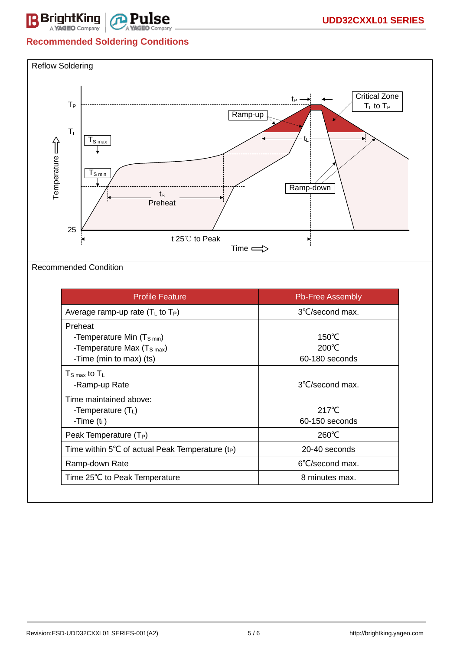

# **Recommended Soldering Conditions**